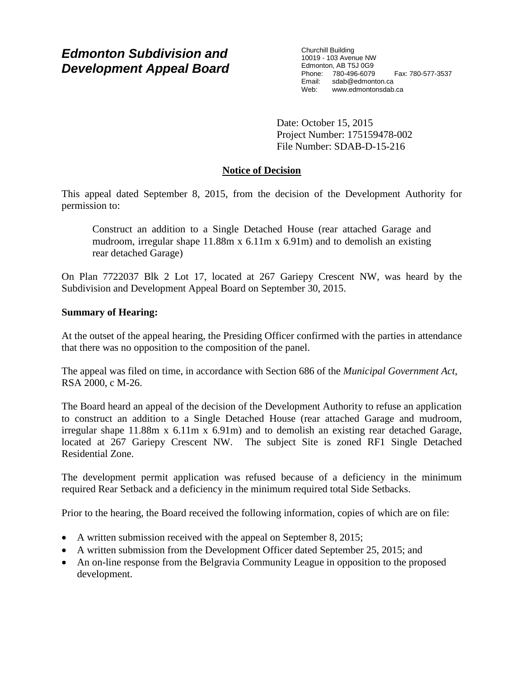# *Edmonton Subdivision and Development Appeal Board*

Churchill Building 10019 - 103 Avenue NW Edmonton, AB T5J 0G9 Phone: 780-496-6079 Fax: 780-577-3537 Email: sdab@edmonton.ca<br>Web: www.edmontonsdab. www.edmontonsdab.ca

Date: October 15, 2015 Project Number: 175159478-002 File Number: SDAB-D-15-216

## **Notice of Decision**

This appeal dated September 8, 2015, from the decision of the Development Authority for permission to:

Construct an addition to a Single Detached House (rear attached Garage and mudroom, irregular shape 11.88m x 6.11m x 6.91m) and to demolish an existing rear detached Garage)

On Plan 7722037 Blk 2 Lot 17, located at 267 Gariepy Crescent NW, was heard by the Subdivision and Development Appeal Board on September 30, 2015.

## **Summary of Hearing:**

At the outset of the appeal hearing, the Presiding Officer confirmed with the parties in attendance that there was no opposition to the composition of the panel.

The appeal was filed on time, in accordance with Section 686 of the *Municipal Government Act*, RSA 2000, c M-26.

The Board heard an appeal of the decision of the Development Authority to refuse an application to construct an addition to a Single Detached House (rear attached Garage and mudroom, irregular shape 11.88m x 6.11m x 6.91m) and to demolish an existing rear detached Garage, located at 267 Gariepy Crescent NW. The subject Site is zoned RF1 Single Detached Residential Zone.

The development permit application was refused because of a deficiency in the minimum required Rear Setback and a deficiency in the minimum required total Side Setbacks.

Prior to the hearing, the Board received the following information, copies of which are on file:

- A written submission received with the appeal on September 8, 2015;
- A written submission from the Development Officer dated September 25, 2015; and
- An on-line response from the Belgravia Community League in opposition to the proposed development.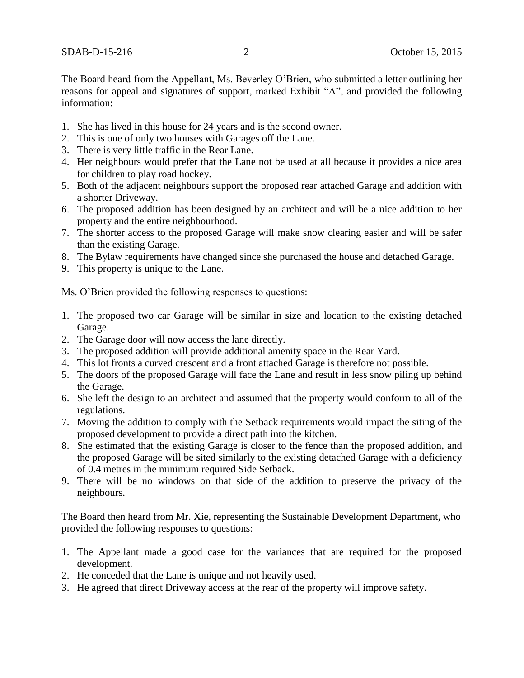The Board heard from the Appellant, Ms. Beverley O'Brien, who submitted a letter outlining her reasons for appeal and signatures of support, marked Exhibit "A", and provided the following information:

- 1. She has lived in this house for 24 years and is the second owner.
- 2. This is one of only two houses with Garages off the Lane.
- 3. There is very little traffic in the Rear Lane.
- 4. Her neighbours would prefer that the Lane not be used at all because it provides a nice area for children to play road hockey.
- 5. Both of the adjacent neighbours support the proposed rear attached Garage and addition with a shorter Driveway.
- 6. The proposed addition has been designed by an architect and will be a nice addition to her property and the entire neighbourhood.
- 7. The shorter access to the proposed Garage will make snow clearing easier and will be safer than the existing Garage.
- 8. The Bylaw requirements have changed since she purchased the house and detached Garage.
- 9. This property is unique to the Lane.

Ms. O'Brien provided the following responses to questions:

- 1. The proposed two car Garage will be similar in size and location to the existing detached Garage.
- 2. The Garage door will now access the lane directly.
- 3. The proposed addition will provide additional amenity space in the Rear Yard.
- 4. This lot fronts a curved crescent and a front attached Garage is therefore not possible.
- 5. The doors of the proposed Garage will face the Lane and result in less snow piling up behind the Garage.
- 6. She left the design to an architect and assumed that the property would conform to all of the regulations.
- 7. Moving the addition to comply with the Setback requirements would impact the siting of the proposed development to provide a direct path into the kitchen.
- 8. She estimated that the existing Garage is closer to the fence than the proposed addition, and the proposed Garage will be sited similarly to the existing detached Garage with a deficiency of 0.4 metres in the minimum required Side Setback.
- 9. There will be no windows on that side of the addition to preserve the privacy of the neighbours.

The Board then heard from Mr. Xie, representing the Sustainable Development Department, who provided the following responses to questions:

- 1. The Appellant made a good case for the variances that are required for the proposed development.
- 2. He conceded that the Lane is unique and not heavily used.
- 3. He agreed that direct Driveway access at the rear of the property will improve safety.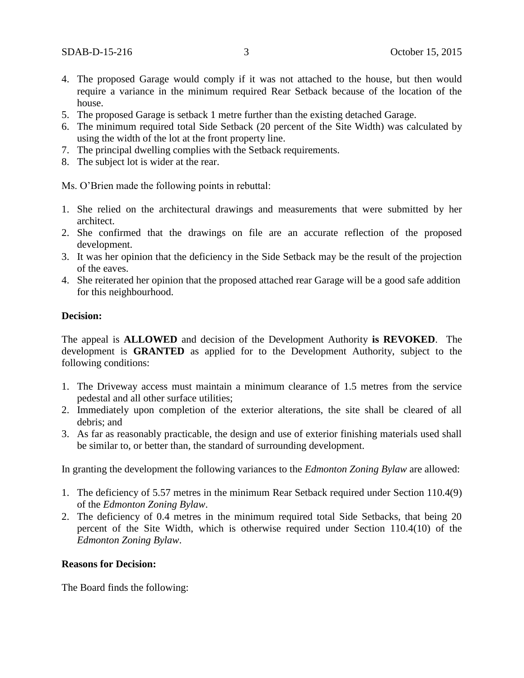- 4. The proposed Garage would comply if it was not attached to the house, but then would require a variance in the minimum required Rear Setback because of the location of the house.
- 5. The proposed Garage is setback 1 metre further than the existing detached Garage.
- 6. The minimum required total Side Setback (20 percent of the Site Width) was calculated by using the width of the lot at the front property line.
- 7. The principal dwelling complies with the Setback requirements.
- 8. The subject lot is wider at the rear.

Ms. O'Brien made the following points in rebuttal:

- 1. She relied on the architectural drawings and measurements that were submitted by her architect.
- 2. She confirmed that the drawings on file are an accurate reflection of the proposed development.
- 3. It was her opinion that the deficiency in the Side Setback may be the result of the projection of the eaves.
- 4. She reiterated her opinion that the proposed attached rear Garage will be a good safe addition for this neighbourhood.

## **Decision:**

The appeal is **ALLOWED** and decision of the Development Authority **is REVOKED**. The development is **GRANTED** as applied for to the Development Authority, subject to the following conditions:

- 1. The Driveway access must maintain a minimum clearance of 1.5 metres from the service pedestal and all other surface utilities;
- 2. Immediately upon completion of the exterior alterations, the site shall be cleared of all debris; and
- 3. As far as reasonably practicable, the design and use of exterior finishing materials used shall be similar to, or better than, the standard of surrounding development.

In granting the development the following variances to the *Edmonton Zoning Bylaw* are allowed:

- 1. The deficiency of 5.57 metres in the minimum Rear Setback required under Section 110.4(9) of the *Edmonton Zoning Bylaw*.
- 2. The deficiency of 0.4 metres in the minimum required total Side Setbacks, that being 20 percent of the Site Width, which is otherwise required under Section 110.4(10) of the *Edmonton Zoning Bylaw*.

## **Reasons for Decision:**

The Board finds the following: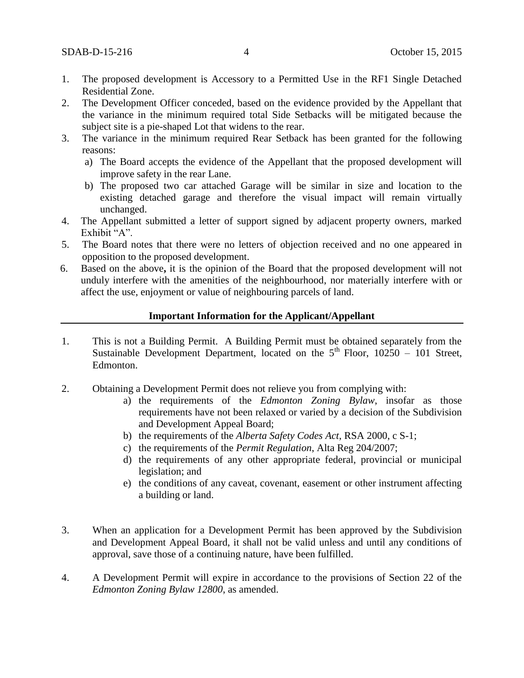- 1. The proposed development is Accessory to a Permitted Use in the RF1 Single Detached Residential Zone.
- 2. The Development Officer conceded, based on the evidence provided by the Appellant that the variance in the minimum required total Side Setbacks will be mitigated because the subject site is a pie-shaped Lot that widens to the rear.
- 3. The variance in the minimum required Rear Setback has been granted for the following reasons:
	- a) The Board accepts the evidence of the Appellant that the proposed development will improve safety in the rear Lane.
	- b) The proposed two car attached Garage will be similar in size and location to the existing detached garage and therefore the visual impact will remain virtually unchanged.
- 4. The Appellant submitted a letter of support signed by adjacent property owners, marked Exhibit "A".
- 5. The Board notes that there were no letters of objection received and no one appeared in opposition to the proposed development.
- 6. Based on the above**,** it is the opinion of the Board that the proposed development will not unduly interfere with the amenities of the neighbourhood, nor materially interfere with or affect the use, enjoyment or value of neighbouring parcels of land.

#### **Important Information for the Applicant/Appellant**

- 1. This is not a Building Permit. A Building Permit must be obtained separately from the Sustainable Development Department, located on the  $5<sup>th</sup>$  Floor, 10250 – 101 Street, Edmonton.
- 2. Obtaining a Development Permit does not relieve you from complying with:
	- a) the requirements of the *Edmonton Zoning Bylaw*, insofar as those requirements have not been relaxed or varied by a decision of the Subdivision and Development Appeal Board;
	- b) the requirements of the *Alberta Safety Codes Act*, RSA 2000, c S-1;
	- c) the requirements of the *Permit Regulation*, Alta Reg 204/2007;
	- d) the requirements of any other appropriate federal, provincial or municipal legislation; and
	- e) the conditions of any caveat, covenant, easement or other instrument affecting a building or land.
- 3. When an application for a Development Permit has been approved by the Subdivision and Development Appeal Board, it shall not be valid unless and until any conditions of approval, save those of a continuing nature, have been fulfilled.
- 4. A Development Permit will expire in accordance to the provisions of Section 22 of the *Edmonton Zoning Bylaw 12800*, as amended.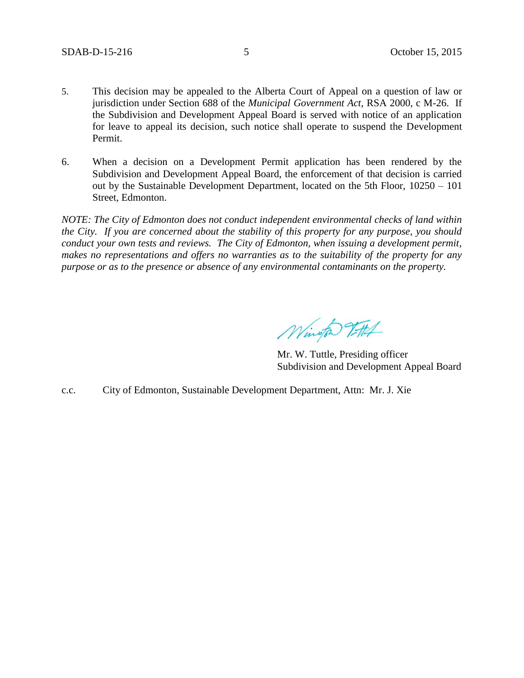- 5. This decision may be appealed to the Alberta Court of Appeal on a question of law or jurisdiction under Section 688 of the *Municipal Government Act*, RSA 2000, c M-26. If the Subdivision and Development Appeal Board is served with notice of an application for leave to appeal its decision, such notice shall operate to suspend the Development Permit.
- 6. When a decision on a Development Permit application has been rendered by the Subdivision and Development Appeal Board, the enforcement of that decision is carried out by the Sustainable Development Department, located on the 5th Floor, 10250 – 101 Street, Edmonton.

*NOTE: The City of Edmonton does not conduct independent environmental checks of land within the City. If you are concerned about the stability of this property for any purpose, you should conduct your own tests and reviews. The City of Edmonton, when issuing a development permit, makes no representations and offers no warranties as to the suitability of the property for any purpose or as to the presence or absence of any environmental contaminants on the property.*

Wington Titth

Mr. W. Tuttle, Presiding officer Subdivision and Development Appeal Board

c.c. City of Edmonton, Sustainable Development Department, Attn: Mr. J. Xie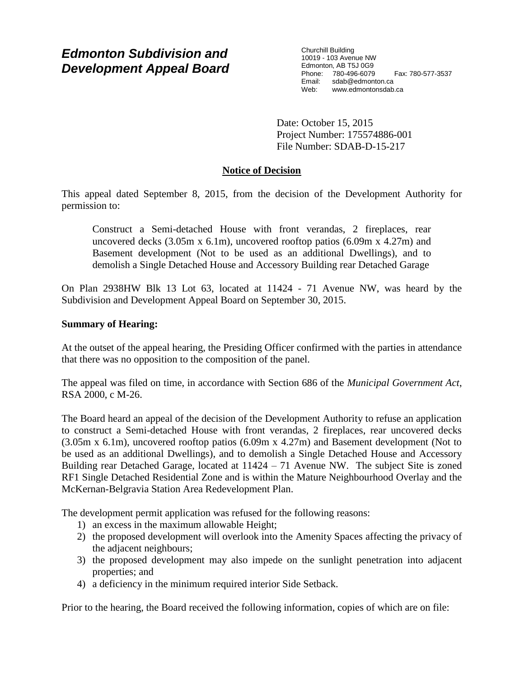# *Edmonton Subdivision and Development Appeal Board*

Churchill Building 10019 - 103 Avenue NW Edmonton, AB T5J 0G9 Phone: 780-496-6079 Fax: 780-577-3537 Email: sdab@edmonton.ca<br>Web: www.edmonton.ca Web: www.edmontonsdab.ca

Date: October 15, 2015 Project Number: 175574886-001 File Number: SDAB-D-15-217

## **Notice of Decision**

This appeal dated September 8, 2015, from the decision of the Development Authority for permission to:

Construct a Semi-detached House with front verandas, 2 fireplaces, rear uncovered decks  $(3.05m \times 6.1m)$ , uncovered rooftop patios  $(6.09m \times 4.27m)$  and Basement development (Not to be used as an additional Dwellings), and to demolish a Single Detached House and Accessory Building rear Detached Garage

On Plan 2938HW Blk 13 Lot 63, located at 11424 - 71 Avenue NW, was heard by the Subdivision and Development Appeal Board on September 30, 2015.

## **Summary of Hearing:**

At the outset of the appeal hearing, the Presiding Officer confirmed with the parties in attendance that there was no opposition to the composition of the panel.

The appeal was filed on time, in accordance with Section 686 of the *Municipal Government Act*, RSA 2000, c M-26.

The Board heard an appeal of the decision of the Development Authority to refuse an application to construct a Semi-detached House with front verandas, 2 fireplaces, rear uncovered decks (3.05m x 6.1m), uncovered rooftop patios (6.09m x 4.27m) and Basement development (Not to be used as an additional Dwellings), and to demolish a Single Detached House and Accessory Building rear Detached Garage, located at 11424 – 71 Avenue NW. The subject Site is zoned RF1 Single Detached Residential Zone and is within the Mature Neighbourhood Overlay and the McKernan-Belgravia Station Area Redevelopment Plan.

The development permit application was refused for the following reasons:

- 1) an excess in the maximum allowable Height;
- 2) the proposed development will overlook into the Amenity Spaces affecting the privacy of the adjacent neighbours;
- 3) the proposed development may also impede on the sunlight penetration into adjacent properties; and
- 4) a deficiency in the minimum required interior Side Setback.

Prior to the hearing, the Board received the following information, copies of which are on file: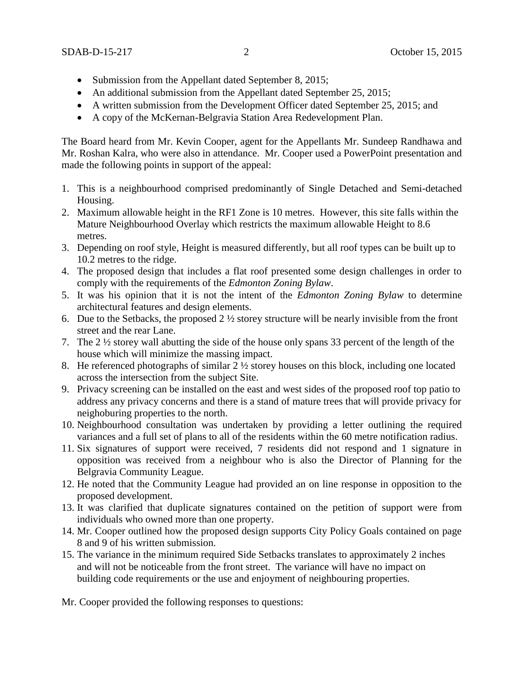- Submission from the Appellant dated September 8, 2015;
- An additional submission from the Appellant dated September 25, 2015;
- A written submission from the Development Officer dated September 25, 2015; and
- A copy of the McKernan-Belgravia Station Area Redevelopment Plan.

The Board heard from Mr. Kevin Cooper, agent for the Appellants Mr. Sundeep Randhawa and Mr. Roshan Kalra, who were also in attendance. Mr. Cooper used a PowerPoint presentation and made the following points in support of the appeal:

- 1. This is a neighbourhood comprised predominantly of Single Detached and Semi-detached Housing.
- 2. Maximum allowable height in the RF1 Zone is 10 metres. However, this site falls within the Mature Neighbourhood Overlay which restricts the maximum allowable Height to 8.6 metres.
- 3. Depending on roof style, Height is measured differently, but all roof types can be built up to 10.2 metres to the ridge.
- 4. The proposed design that includes a flat roof presented some design challenges in order to comply with the requirements of the *Edmonton Zoning Bylaw*.
- 5. It was his opinion that it is not the intent of the *Edmonton Zoning Bylaw* to determine architectural features and design elements.
- 6. Due to the Setbacks, the proposed  $2\frac{1}{2}$  storey structure will be nearly invisible from the front street and the rear Lane.
- 7. The 2 ½ storey wall abutting the side of the house only spans 33 percent of the length of the house which will minimize the massing impact.
- 8. He referenced photographs of similar 2 ½ storey houses on this block, including one located across the intersection from the subject Site.
- 9. Privacy screening can be installed on the east and west sides of the proposed roof top patio to address any privacy concerns and there is a stand of mature trees that will provide privacy for neighoburing properties to the north.
- 10. Neighbourhood consultation was undertaken by providing a letter outlining the required variances and a full set of plans to all of the residents within the 60 metre notification radius.
- 11. Six signatures of support were received, 7 residents did not respond and 1 signature in opposition was received from a neighbour who is also the Director of Planning for the Belgravia Community League.
- 12. He noted that the Community League had provided an on line response in opposition to the proposed development.
- 13. It was clarified that duplicate signatures contained on the petition of support were from individuals who owned more than one property.
- 14. Mr. Cooper outlined how the proposed design supports City Policy Goals contained on page 8 and 9 of his written submission.
- 15. The variance in the minimum required Side Setbacks translates to approximately 2 inches and will not be noticeable from the front street. The variance will have no impact on building code requirements or the use and enjoyment of neighbouring properties.

Mr. Cooper provided the following responses to questions: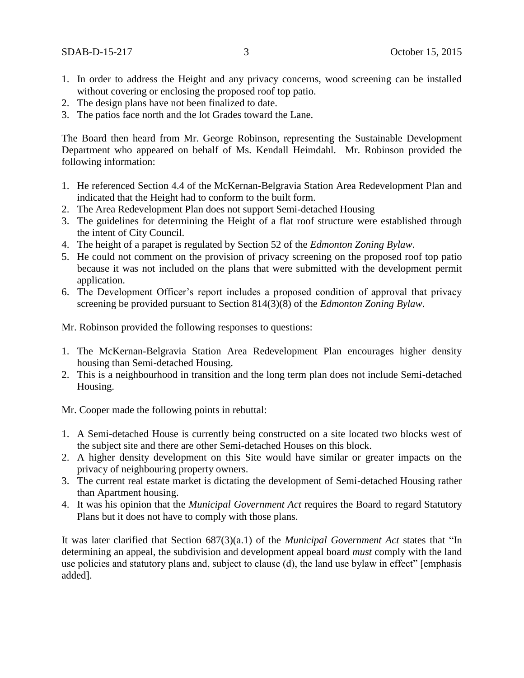- 1. In order to address the Height and any privacy concerns, wood screening can be installed without covering or enclosing the proposed roof top patio.
- 2. The design plans have not been finalized to date.
- 3. The patios face north and the lot Grades toward the Lane.

The Board then heard from Mr. George Robinson, representing the Sustainable Development Department who appeared on behalf of Ms. Kendall Heimdahl. Mr. Robinson provided the following information:

- 1. He referenced Section 4.4 of the McKernan-Belgravia Station Area Redevelopment Plan and indicated that the Height had to conform to the built form.
- 2. The Area Redevelopment Plan does not support Semi-detached Housing
- 3. The guidelines for determining the Height of a flat roof structure were established through the intent of City Council.
- 4. The height of a parapet is regulated by Section 52 of the *Edmonton Zoning Bylaw*.
- 5. He could not comment on the provision of privacy screening on the proposed roof top patio because it was not included on the plans that were submitted with the development permit application.
- 6. The Development Officer's report includes a proposed condition of approval that privacy screening be provided pursuant to Section 814(3)(8) of the *Edmonton Zoning Bylaw*.

Mr. Robinson provided the following responses to questions:

- 1. The McKernan-Belgravia Station Area Redevelopment Plan encourages higher density housing than Semi-detached Housing.
- 2. This is a neighbourhood in transition and the long term plan does not include Semi-detached Housing.

Mr. Cooper made the following points in rebuttal:

- 1. A Semi-detached House is currently being constructed on a site located two blocks west of the subject site and there are other Semi-detached Houses on this block.
- 2. A higher density development on this Site would have similar or greater impacts on the privacy of neighbouring property owners.
- 3. The current real estate market is dictating the development of Semi-detached Housing rather than Apartment housing.
- 4. It was his opinion that the *Municipal Government Act* requires the Board to regard Statutory Plans but it does not have to comply with those plans.

It was later clarified that Section 687(3)(a.1) of the *Municipal Government Act* states that "In determining an appeal, the subdivision and development appeal board *must* comply with the land use policies and statutory plans and, subject to clause (d), the land use bylaw in effect" [emphasis added].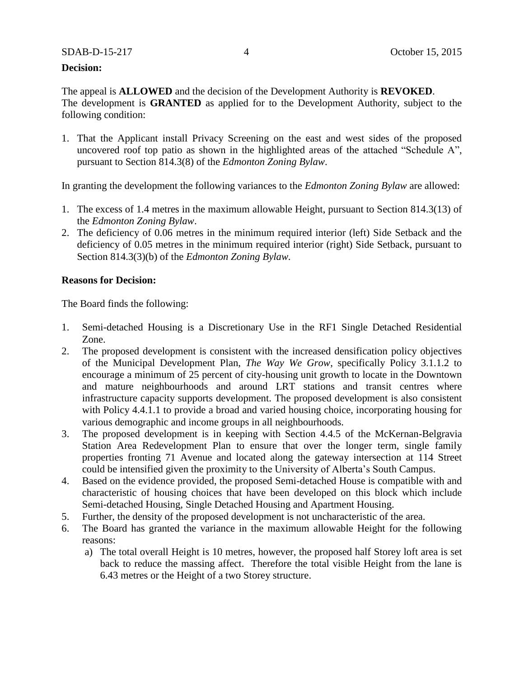#### **Decision:**

The appeal is **ALLOWED** and the decision of the Development Authority is **REVOKED**. The development is **GRANTED** as applied for to the Development Authority, subject to the following condition:

1. That the Applicant install Privacy Screening on the east and west sides of the proposed uncovered roof top patio as shown in the highlighted areas of the attached "Schedule A", pursuant to Section 814.3(8) of the *Edmonton Zoning Bylaw*.

In granting the development the following variances to the *Edmonton Zoning Bylaw* are allowed:

- 1. The excess of 1.4 metres in the maximum allowable Height, pursuant to Section 814.3(13) of the *Edmonton Zoning Bylaw*.
- 2. The deficiency of 0.06 metres in the minimum required interior (left) Side Setback and the deficiency of 0.05 metres in the minimum required interior (right) Side Setback, pursuant to Section 814.3(3)(b) of the *Edmonton Zoning Bylaw.*

#### **Reasons for Decision:**

The Board finds the following:

- 1. Semi-detached Housing is a Discretionary Use in the RF1 Single Detached Residential Zone.
- 2. The proposed development is consistent with the increased densification policy objectives of the Municipal Development Plan, *The Way We Grow*, specifically Policy 3.1.1.2 to encourage a minimum of 25 percent of city-housing unit growth to locate in the Downtown and mature neighbourhoods and around LRT stations and transit centres where infrastructure capacity supports development. The proposed development is also consistent with Policy 4.4.1.1 to provide a broad and varied housing choice, incorporating housing for various demographic and income groups in all neighbourhoods.
- 3. The proposed development is in keeping with Section 4.4.5 of the McKernan-Belgravia Station Area Redevelopment Plan to ensure that over the longer term, single family properties fronting 71 Avenue and located along the gateway intersection at 114 Street could be intensified given the proximity to the University of Alberta's South Campus.
- 4. Based on the evidence provided, the proposed Semi-detached House is compatible with and characteristic of housing choices that have been developed on this block which include Semi-detached Housing, Single Detached Housing and Apartment Housing.
- 5. Further, the density of the proposed development is not uncharacteristic of the area.
- 6. The Board has granted the variance in the maximum allowable Height for the following reasons:
	- a) The total overall Height is 10 metres, however, the proposed half Storey loft area is set back to reduce the massing affect. Therefore the total visible Height from the lane is 6.43 metres or the Height of a two Storey structure.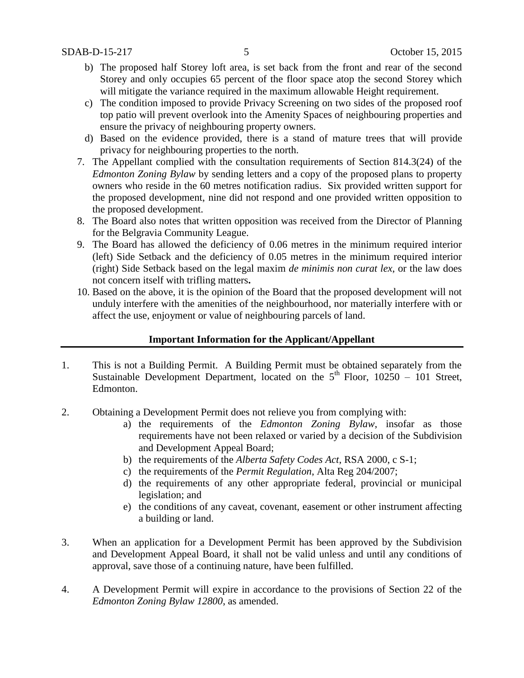- b) The proposed half Storey loft area, is set back from the front and rear of the second Storey and only occupies 65 percent of the floor space atop the second Storey which will mitigate the variance required in the maximum allowable Height requirement.
- c) The condition imposed to provide Privacy Screening on two sides of the proposed roof top patio will prevent overlook into the Amenity Spaces of neighbouring properties and ensure the privacy of neighbouring property owners.
- d) Based on the evidence provided, there is a stand of mature trees that will provide privacy for neighbouring properties to the north.
- 7. The Appellant complied with the consultation requirements of Section 814.3(24) of the *Edmonton Zoning Bylaw* by sending letters and a copy of the proposed plans to property owners who reside in the 60 metres notification radius. Six provided written support for the proposed development, nine did not respond and one provided written opposition to the proposed development.
- 8. The Board also notes that written opposition was received from the Director of Planning for the Belgravia Community League.
- 9. The Board has allowed the deficiency of 0.06 metres in the minimum required interior (left) Side Setback and the deficiency of 0.05 metres in the minimum required interior (right) Side Setback based on the legal maxim *de minimis non curat lex*, or the law does not concern itself with trifling matters**.**
- 10. Based on the above, it is the opinion of the Board that the proposed development will not unduly interfere with the amenities of the neighbourhood, nor materially interfere with or affect the use, enjoyment or value of neighbouring parcels of land.

## **Important Information for the Applicant/Appellant**

- 1. This is not a Building Permit. A Building Permit must be obtained separately from the Sustainable Development Department, located on the  $5<sup>th</sup>$  Floor, 10250 – 101 Street, Edmonton.
- 2. Obtaining a Development Permit does not relieve you from complying with:
	- a) the requirements of the *Edmonton Zoning Bylaw*, insofar as those requirements have not been relaxed or varied by a decision of the Subdivision and Development Appeal Board;
	- b) the requirements of the *Alberta Safety Codes Act*, RSA 2000, c S-1;
	- c) the requirements of the *Permit Regulation*, Alta Reg 204/2007;
	- d) the requirements of any other appropriate federal, provincial or municipal legislation; and
	- e) the conditions of any caveat, covenant, easement or other instrument affecting a building or land.
- 3. When an application for a Development Permit has been approved by the Subdivision and Development Appeal Board, it shall not be valid unless and until any conditions of approval, save those of a continuing nature, have been fulfilled.
- 4. A Development Permit will expire in accordance to the provisions of Section 22 of the *Edmonton Zoning Bylaw 12800*, as amended.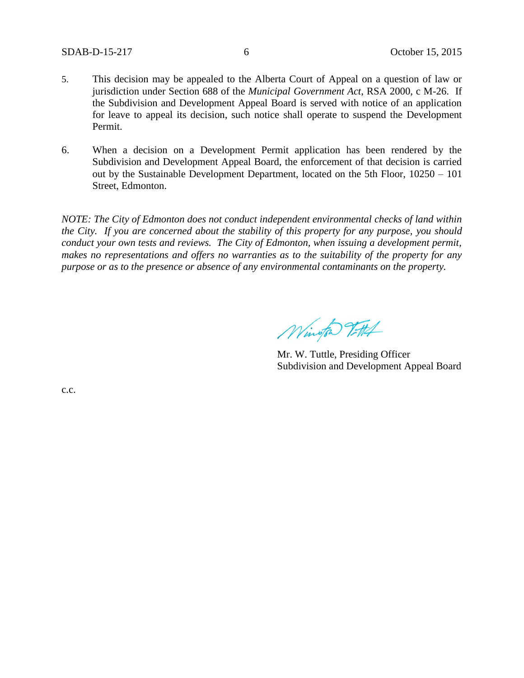- 5. This decision may be appealed to the Alberta Court of Appeal on a question of law or jurisdiction under Section 688 of the *Municipal Government Act*, RSA 2000, c M-26. If the Subdivision and Development Appeal Board is served with notice of an application for leave to appeal its decision, such notice shall operate to suspend the Development Permit.
- 6. When a decision on a Development Permit application has been rendered by the Subdivision and Development Appeal Board, the enforcement of that decision is carried out by the Sustainable Development Department, located on the 5th Floor, 10250 – 101 Street, Edmonton.

*NOTE: The City of Edmonton does not conduct independent environmental checks of land within the City. If you are concerned about the stability of this property for any purpose, you should conduct your own tests and reviews. The City of Edmonton, when issuing a development permit, makes no representations and offers no warranties as to the suitability of the property for any purpose or as to the presence or absence of any environmental contaminants on the property.*

Wington Titl

Mr. W. Tuttle, Presiding Officer Subdivision and Development Appeal Board

c.c.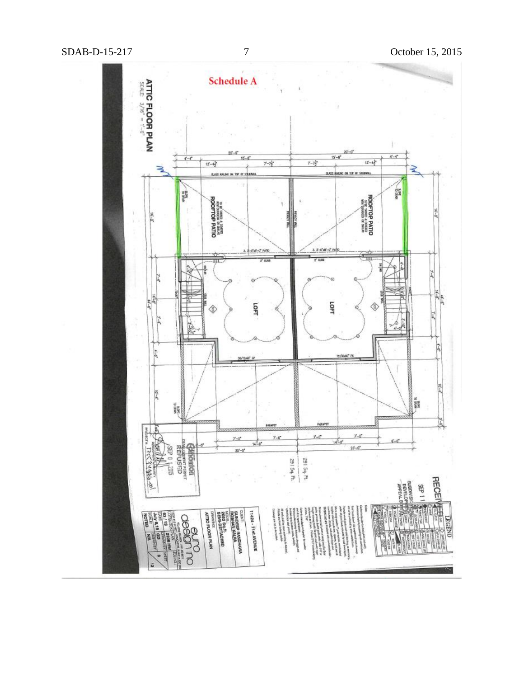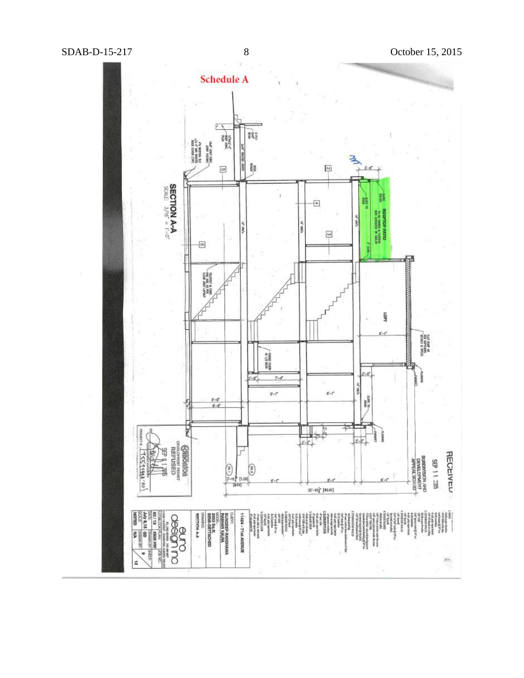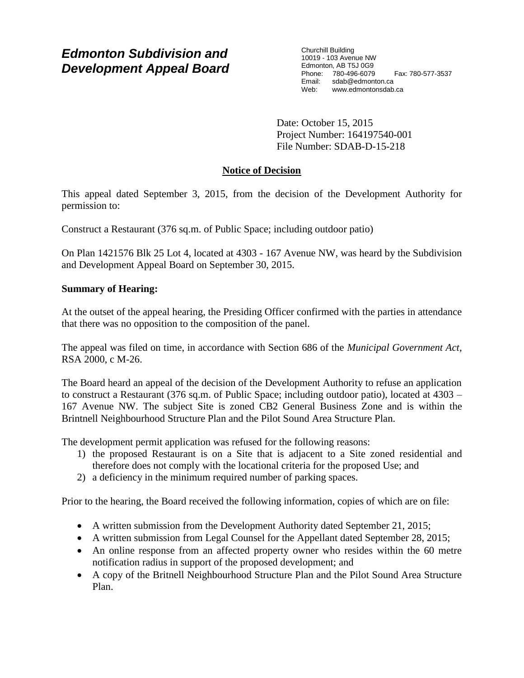# *Edmonton Subdivision and Development Appeal Board*

Churchill Building 10019 - 103 Avenue NW Edmonton, AB T5J 0G9 Phone: 780-496-6079 Fax: 780-577-3537 Email: sdab@edmonton.ca<br>Web: www.edmonton.ca Web: www.edmontonsdab.ca

Date: October 15, 2015 Project Number: 164197540-001 File Number: SDAB-D-15-218

# **Notice of Decision**

This appeal dated September 3, 2015, from the decision of the Development Authority for permission to:

Construct a Restaurant (376 sq.m. of Public Space; including outdoor patio)

On Plan 1421576 Blk 25 Lot 4, located at 4303 - 167 Avenue NW, was heard by the Subdivision and Development Appeal Board on September 30, 2015.

## **Summary of Hearing:**

At the outset of the appeal hearing, the Presiding Officer confirmed with the parties in attendance that there was no opposition to the composition of the panel.

The appeal was filed on time, in accordance with Section 686 of the *Municipal Government Act*, RSA 2000, c M-26.

The Board heard an appeal of the decision of the Development Authority to refuse an application to construct a Restaurant (376 sq.m. of Public Space; including outdoor patio), located at 4303 – 167 Avenue NW. The subject Site is zoned CB2 General Business Zone and is within the Brintnell Neighbourhood Structure Plan and the Pilot Sound Area Structure Plan.

The development permit application was refused for the following reasons:

- 1) the proposed Restaurant is on a Site that is adjacent to a Site zoned residential and therefore does not comply with the locational criteria for the proposed Use; and
- 2) a deficiency in the minimum required number of parking spaces.

Prior to the hearing, the Board received the following information, copies of which are on file:

- A written submission from the Development Authority dated September 21, 2015;
- A written submission from Legal Counsel for the Appellant dated September 28, 2015;
- An online response from an affected property owner who resides within the 60 metre notification radius in support of the proposed development; and
- A copy of the Britnell Neighbourhood Structure Plan and the Pilot Sound Area Structure Plan.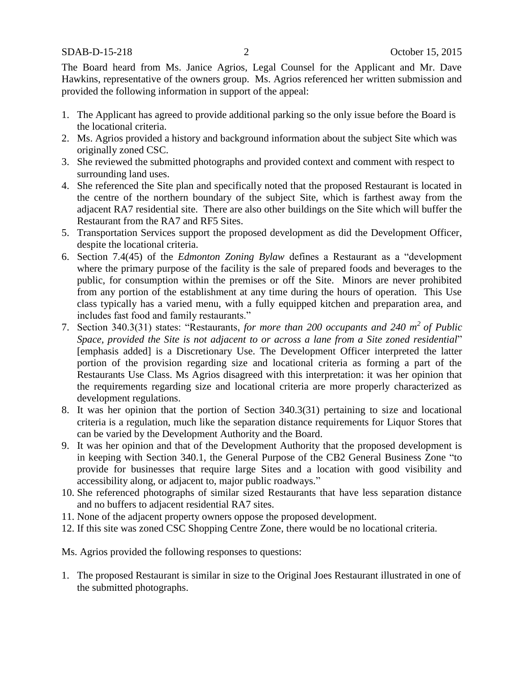The Board heard from Ms. Janice Agrios, Legal Counsel for the Applicant and Mr. Dave Hawkins, representative of the owners group. Ms. Agrios referenced her written submission and provided the following information in support of the appeal:

- 1. The Applicant has agreed to provide additional parking so the only issue before the Board is the locational criteria.
- 2. Ms. Agrios provided a history and background information about the subject Site which was originally zoned CSC.
- 3. She reviewed the submitted photographs and provided context and comment with respect to surrounding land uses.
- 4. She referenced the Site plan and specifically noted that the proposed Restaurant is located in the centre of the northern boundary of the subject Site, which is farthest away from the adjacent RA7 residential site. There are also other buildings on the Site which will buffer the Restaurant from the RA7 and RF5 Sites.
- 5. Transportation Services support the proposed development as did the Development Officer, despite the locational criteria.
- 6. Section 7.4(45) of the *Edmonton Zoning Bylaw* defines a Restaurant as a "development where the primary purpose of the facility is the sale of prepared foods and beverages to the public, for consumption within the premises or off the Site. Minors are never prohibited from any portion of the establishment at any time during the hours of operation. This Use class typically has a varied menu, with a fully equipped kitchen and preparation area, and includes fast food and family restaurants."
- 7. Section 340.3(31) states: "Restaurants, *for more than 200 occupants and 240 m<sup>2</sup> of Public Space, provided the Site is not adjacent to or across a lane from a Site zoned residential*" [emphasis added] is a Discretionary Use. The Development Officer interpreted the latter portion of the provision regarding size and locational criteria as forming a part of the Restaurants Use Class. Ms Agrios disagreed with this interpretation: it was her opinion that the requirements regarding size and locational criteria are more properly characterized as development regulations.
- 8. It was her opinion that the portion of Section 340.3(31) pertaining to size and locational criteria is a regulation, much like the separation distance requirements for Liquor Stores that can be varied by the Development Authority and the Board.
- 9. It was her opinion and that of the Development Authority that the proposed development is in keeping with Section 340.1, the General Purpose of the CB2 General Business Zone "to provide for businesses that require large Sites and a location with good visibility and accessibility along, or adjacent to, major public roadways."
- 10. She referenced photographs of similar sized Restaurants that have less separation distance and no buffers to adjacent residential RA7 sites.
- 11. None of the adjacent property owners oppose the proposed development.
- 12. If this site was zoned CSC Shopping Centre Zone, there would be no locational criteria.

Ms. Agrios provided the following responses to questions:

1. The proposed Restaurant is similar in size to the Original Joes Restaurant illustrated in one of the submitted photographs.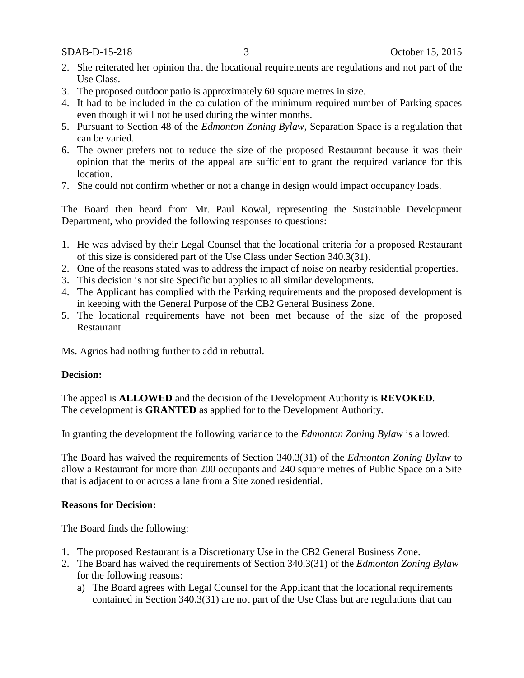- 2. She reiterated her opinion that the locational requirements are regulations and not part of the Use Class.
- 3. The proposed outdoor patio is approximately 60 square metres in size.
- 4. It had to be included in the calculation of the minimum required number of Parking spaces even though it will not be used during the winter months.
- 5. Pursuant to Section 48 of the *Edmonton Zoning Bylaw*, Separation Space is a regulation that can be varied.
- 6. The owner prefers not to reduce the size of the proposed Restaurant because it was their opinion that the merits of the appeal are sufficient to grant the required variance for this location.
- 7. She could not confirm whether or not a change in design would impact occupancy loads.

The Board then heard from Mr. Paul Kowal, representing the Sustainable Development Department, who provided the following responses to questions:

- 1. He was advised by their Legal Counsel that the locational criteria for a proposed Restaurant of this size is considered part of the Use Class under Section 340.3(31).
- 2. One of the reasons stated was to address the impact of noise on nearby residential properties.
- 3. This decision is not site Specific but applies to all similar developments.
- 4. The Applicant has complied with the Parking requirements and the proposed development is in keeping with the General Purpose of the CB2 General Business Zone.
- 5. The locational requirements have not been met because of the size of the proposed Restaurant.

Ms. Agrios had nothing further to add in rebuttal.

## **Decision:**

The appeal is **ALLOWED** and the decision of the Development Authority is **REVOKED**. The development is **GRANTED** as applied for to the Development Authority.

In granting the development the following variance to the *Edmonton Zoning Bylaw* is allowed:

The Board has waived the requirements of Section 340.3(31) of the *Edmonton Zoning Bylaw* to allow a Restaurant for more than 200 occupants and 240 square metres of Public Space on a Site that is adjacent to or across a lane from a Site zoned residential.

## **Reasons for Decision:**

The Board finds the following:

- 1. The proposed Restaurant is a Discretionary Use in the CB2 General Business Zone.
- 2. The Board has waived the requirements of Section 340.3(31) of the *Edmonton Zoning Bylaw* for the following reasons:
	- a) The Board agrees with Legal Counsel for the Applicant that the locational requirements contained in Section 340.3(31) are not part of the Use Class but are regulations that can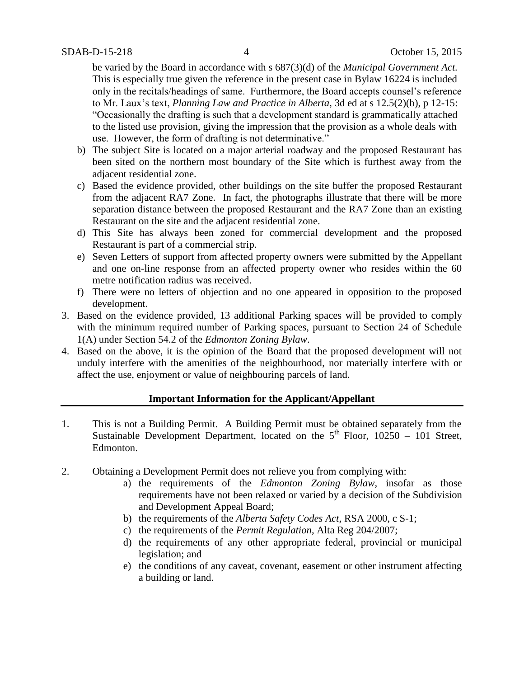be varied by the Board in accordance with s 687(3)(d) of the *Municipal Government Act.*  This is especially true given the reference in the present case in Bylaw 16224 is included only in the recitals/headings of same. Furthermore, the Board accepts counsel's reference to Mr. Laux's text, *Planning Law and Practice in Alberta,* 3d ed at s 12.5(2)(b), p 12-15: "Occasionally the drafting is such that a development standard is grammatically attached to the listed use provision, giving the impression that the provision as a whole deals with use. However, the form of drafting is not determinative."

- b) The subject Site is located on a major arterial roadway and the proposed Restaurant has been sited on the northern most boundary of the Site which is furthest away from the adjacent residential zone.
- c) Based the evidence provided, other buildings on the site buffer the proposed Restaurant from the adjacent RA7 Zone. In fact, the photographs illustrate that there will be more separation distance between the proposed Restaurant and the RA7 Zone than an existing Restaurant on the site and the adjacent residential zone.
- d) This Site has always been zoned for commercial development and the proposed Restaurant is part of a commercial strip.
- e) Seven Letters of support from affected property owners were submitted by the Appellant and one on-line response from an affected property owner who resides within the 60 metre notification radius was received.
- f) There were no letters of objection and no one appeared in opposition to the proposed development.
- 3. Based on the evidence provided, 13 additional Parking spaces will be provided to comply with the minimum required number of Parking spaces, pursuant to Section 24 of Schedule 1(A) under Section 54.2 of the *Edmonton Zoning Bylaw*.
- 4. Based on the above, it is the opinion of the Board that the proposed development will not unduly interfere with the amenities of the neighbourhood, nor materially interfere with or affect the use, enjoyment or value of neighbouring parcels of land.

## **Important Information for the Applicant/Appellant**

- 1. This is not a Building Permit. A Building Permit must be obtained separately from the Sustainable Development Department, located on the  $5<sup>th</sup>$  Floor, 10250 – 101 Street, Edmonton.
- 2. Obtaining a Development Permit does not relieve you from complying with:
	- a) the requirements of the *Edmonton Zoning Bylaw*, insofar as those requirements have not been relaxed or varied by a decision of the Subdivision and Development Appeal Board;
	- b) the requirements of the *Alberta Safety Codes Act*, RSA 2000, c S-1;
	- c) the requirements of the *Permit Regulation*, Alta Reg 204/2007;
	- d) the requirements of any other appropriate federal, provincial or municipal legislation; and
	- e) the conditions of any caveat, covenant, easement or other instrument affecting a building or land.